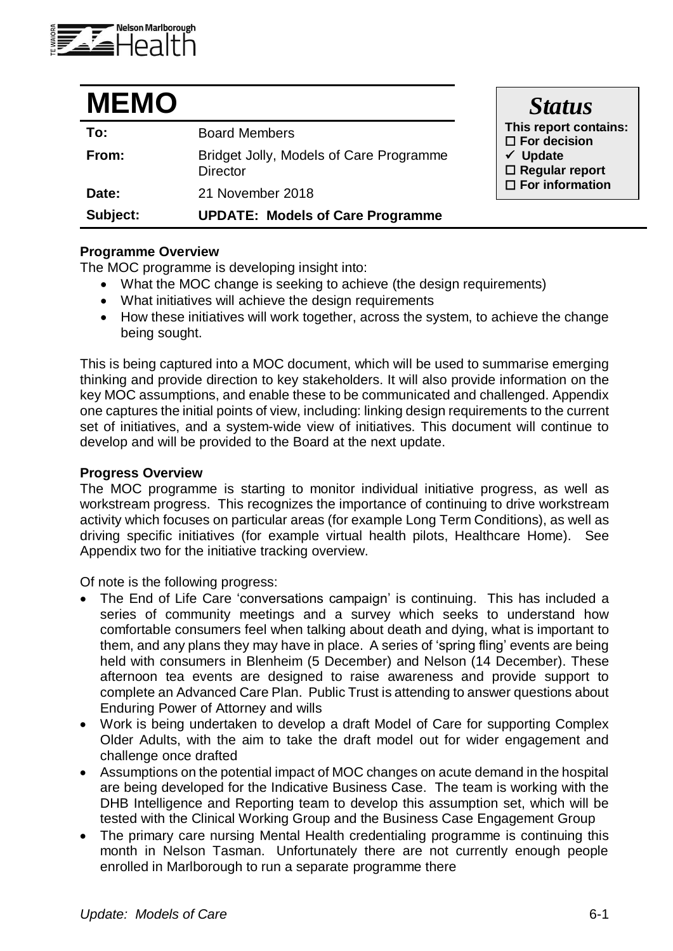

| <b>MEMO</b> |                                                            | <b>Status</b>                                                                                |
|-------------|------------------------------------------------------------|----------------------------------------------------------------------------------------------|
| To:         | <b>Board Members</b>                                       | This report contains:<br>$\Box$ For decision<br>$\checkmark$ Update<br>$\Box$ Regular report |
| From:       | Bridget Jolly, Models of Care Programme<br><b>Director</b> |                                                                                              |
| Date:       | 21 November 2018                                           | $\Box$ For information                                                                       |
| Subject:    | <b>UPDATE: Models of Care Programme</b>                    |                                                                                              |

### **Programme Overview**

The MOC programme is developing insight into:

- What the MOC change is seeking to achieve (the design requirements)
- What initiatives will achieve the design requirements
- How these initiatives will work together, across the system, to achieve the change being sought.

This is being captured into a MOC document, which will be used to summarise emerging thinking and provide direction to key stakeholders. It will also provide information on the key MOC assumptions, and enable these to be communicated and challenged. Appendix one captures the initial points of view, including: linking design requirements to the current set of initiatives, and a system-wide view of initiatives. This document will continue to develop and will be provided to the Board at the next update.

#### **Progress Overview**

The MOC programme is starting to monitor individual initiative progress, as well as workstream progress. This recognizes the importance of continuing to drive workstream activity which focuses on particular areas (for example Long Term Conditions), as well as driving specific initiatives (for example virtual health pilots, Healthcare Home). See Appendix two for the initiative tracking overview.

Of note is the following progress:

- The End of Life Care 'conversations campaign' is continuing. This has included a series of community meetings and a survey which seeks to understand how comfortable consumers feel when talking about death and dying, what is important to them, and any plans they may have in place. A series of 'spring fling' events are being held with consumers in Blenheim (5 December) and Nelson (14 December). These afternoon tea events are designed to raise awareness and provide support to complete an Advanced Care Plan. Public Trust is attending to answer questions about Enduring Power of Attorney and wills
- Work is being undertaken to develop a draft Model of Care for supporting Complex Older Adults, with the aim to take the draft model out for wider engagement and challenge once drafted
- Assumptions on the potential impact of MOC changes on acute demand in the hospital are being developed for the Indicative Business Case. The team is working with the DHB Intelligence and Reporting team to develop this assumption set, which will be tested with the Clinical Working Group and the Business Case Engagement Group
- The primary care nursing Mental Health credentialing programme is continuing this month in Nelson Tasman. Unfortunately there are not currently enough people enrolled in Marlborough to run a separate programme there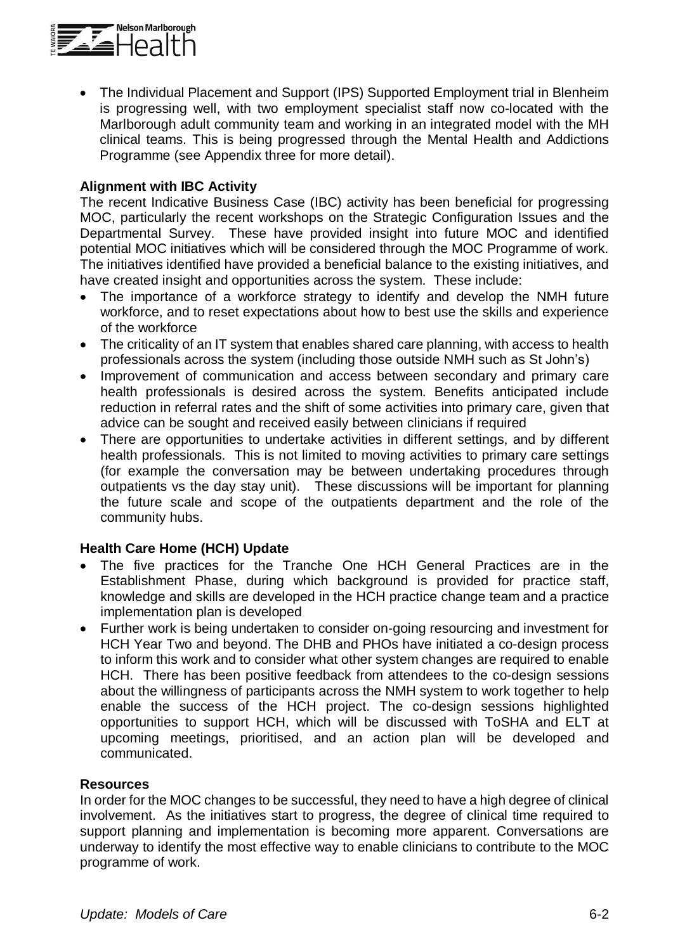

• The Individual Placement and Support (IPS) Supported Employment trial in Blenheim is progressing well, with two employment specialist staff now co-located with the Marlborough adult community team and working in an integrated model with the MH clinical teams. This is being progressed through the Mental Health and Addictions Programme (see Appendix three for more detail).

### **Alignment with IBC Activity**

The recent Indicative Business Case (IBC) activity has been beneficial for progressing MOC, particularly the recent workshops on the Strategic Configuration Issues and the Departmental Survey. These have provided insight into future MOC and identified potential MOC initiatives which will be considered through the MOC Programme of work. The initiatives identified have provided a beneficial balance to the existing initiatives, and have created insight and opportunities across the system. These include:

- The importance of a workforce strategy to identify and develop the NMH future workforce, and to reset expectations about how to best use the skills and experience of the workforce
- The criticality of an IT system that enables shared care planning, with access to health professionals across the system (including those outside NMH such as St John's)
- Improvement of communication and access between secondary and primary care health professionals is desired across the system. Benefits anticipated include reduction in referral rates and the shift of some activities into primary care, given that advice can be sought and received easily between clinicians if required
- There are opportunities to undertake activities in different settings, and by different health professionals. This is not limited to moving activities to primary care settings (for example the conversation may be between undertaking procedures through outpatients vs the day stay unit). These discussions will be important for planning the future scale and scope of the outpatients department and the role of the community hubs.

## **Health Care Home (HCH) Update**

- The five practices for the Tranche One HCH General Practices are in the Establishment Phase, during which background is provided for practice staff, knowledge and skills are developed in the HCH practice change team and a practice implementation plan is developed
- Further work is being undertaken to consider on-going resourcing and investment for HCH Year Two and beyond. The DHB and PHOs have initiated a co-design process to inform this work and to consider what other system changes are required to enable HCH. There has been positive feedback from attendees to the co-design sessions about the willingness of participants across the NMH system to work together to help enable the success of the HCH project. The co-design sessions highlighted opportunities to support HCH, which will be discussed with ToSHA and ELT at upcoming meetings, prioritised, and an action plan will be developed and communicated.

### **Resources**

In order for the MOC changes to be successful, they need to have a high degree of clinical involvement. As the initiatives start to progress, the degree of clinical time required to support planning and implementation is becoming more apparent. Conversations are underway to identify the most effective way to enable clinicians to contribute to the MOC programme of work.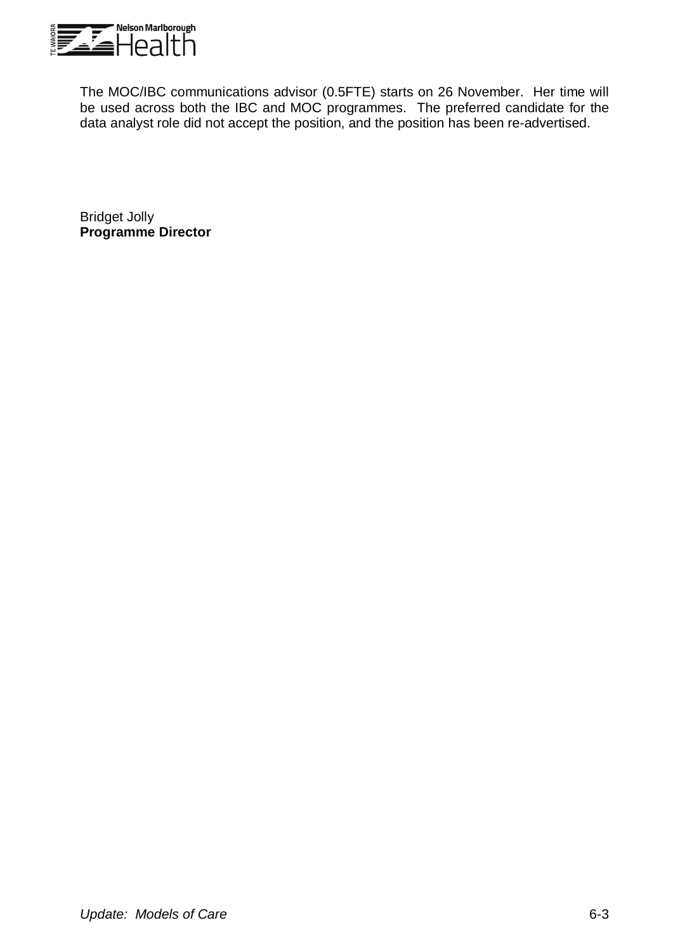

The MOC/IBC communications advisor (0.5FTE) starts on 26 November. Her time will be used across both the IBC and MOC programmes. The preferred candidate for the data analyst role did not accept the position, and the position has been re-advertised.

Bridget Jolly **Programme Director**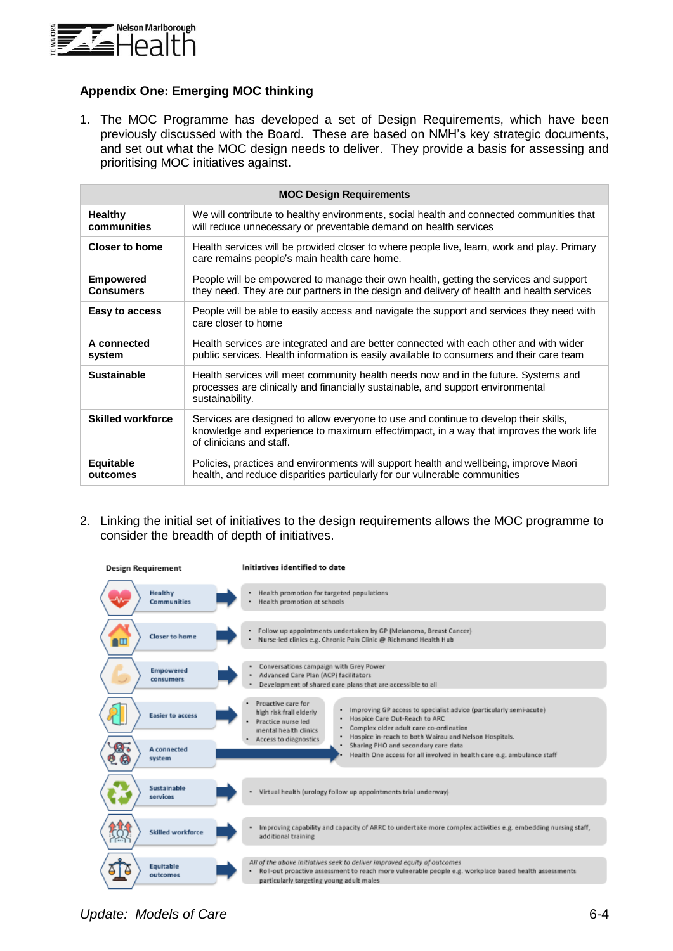

#### **Appendix One: Emerging MOC thinking**

1. The MOC Programme has developed a set of Design Requirements, which have been previously discussed with the Board. These are based on NMH's key strategic documents, and set out what the MOC design needs to deliver. They provide a basis for assessing and prioritising MOC initiatives against.

| <b>MOC Design Requirements</b>       |                                                                                                                                                                                                             |  |
|--------------------------------------|-------------------------------------------------------------------------------------------------------------------------------------------------------------------------------------------------------------|--|
| <b>Healthy</b><br>communities        | We will contribute to healthy environments, social health and connected communities that<br>will reduce unnecessary or preventable demand on health services                                                |  |
| <b>Closer to home</b>                | Health services will be provided closer to where people live, learn, work and play. Primary<br>care remains people's main health care home.                                                                 |  |
| <b>Empowered</b><br><b>Consumers</b> | People will be empowered to manage their own health, getting the services and support<br>they need. They are our partners in the design and delivery of health and health services                          |  |
| Easy to access                       | People will be able to easily access and navigate the support and services they need with<br>care closer to home                                                                                            |  |
| A connected<br>system                | Health services are integrated and are better connected with each other and with wider<br>public services. Health information is easily available to consumers and their care team                          |  |
| <b>Sustainable</b>                   | Health services will meet community health needs now and in the future. Systems and<br>processes are clinically and financially sustainable, and support environmental<br>sustainability.                   |  |
| <b>Skilled workforce</b>             | Services are designed to allow everyone to use and continue to develop their skills,<br>knowledge and experience to maximum effect/impact, in a way that improves the work life<br>of clinicians and staff. |  |
| Equitable<br>outcomes                | Policies, practices and environments will support health and wellbeing, improve Maori<br>health, and reduce disparities particularly for our vulnerable communities                                         |  |

2. Linking the initial set of initiatives to the design requirements allows the MOC programme to consider the breadth of depth of initiatives.



*Update: Models of Care* 6-4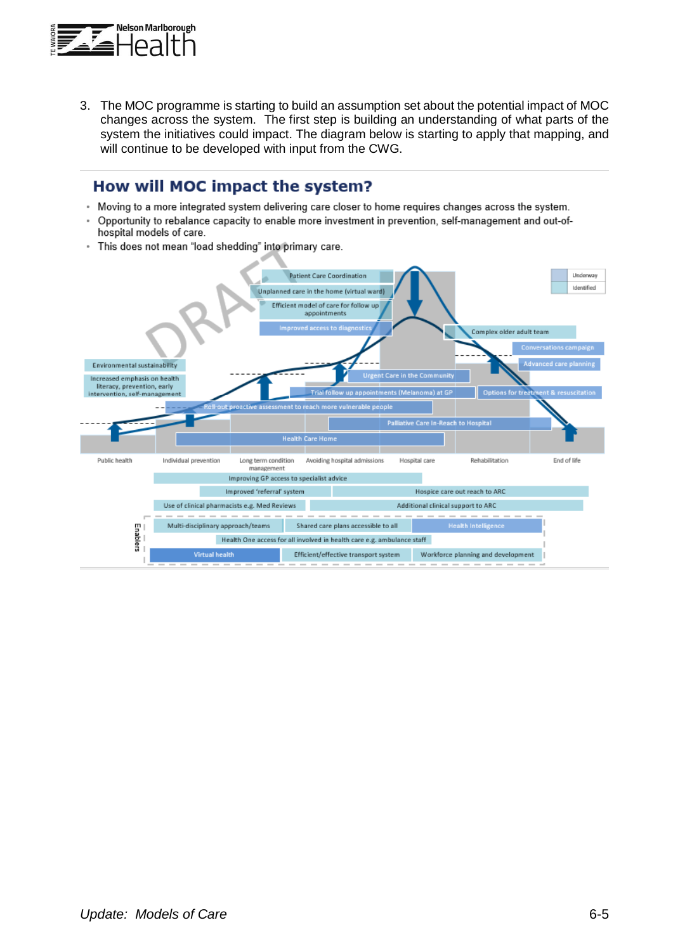

3. The MOC programme is starting to build an assumption set about the potential impact of MOC changes across the system. The first step is building an understanding of what parts of the system the initiatives could impact. The diagram below is starting to apply that mapping, and will continue to be developed with input from the CWG.

# How will MOC impact the system?

- Moving to a more integrated system delivering care closer to home requires changes across the system.
- × Opportunity to rebalance capacity to enable more investment in prevention, self-management and out-ofhospital models of care.
- This does not mean "load shedding" into primary care.  $\sim$

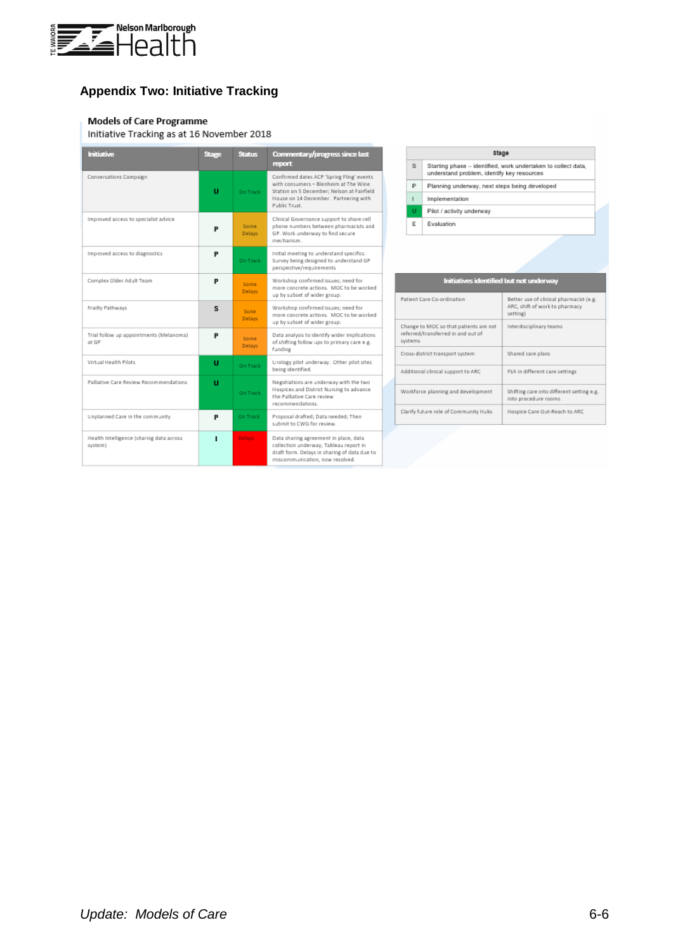

# **Appendix Two: Initiative Tracking**

#### **Models of Care Programme**

Initiative Tracking as at 16 November 2018

| Initiative                                          | Stage | Status                | Commentary/progress since last<br>report                                                                                                                                                   |
|-----------------------------------------------------|-------|-----------------------|--------------------------------------------------------------------------------------------------------------------------------------------------------------------------------------------|
| Conversations Campaign                              | U     | On Track              | Confirmed dates ACP 'Spring Fling' events<br>with consumers - Blenheim at The Wine<br>Station on 5 December: Nelson at Fairfield<br>House on 14 December. Partnering with<br>Public Trust. |
| Improved access to specialist advice                | P     | Some<br>Delays:       | Clinical Governance support to share cell<br>phone numbers between pharmacists and<br>GP. Work underway to find secure<br>mechanism.                                                       |
| Improved access to diagnostics                      | P     | <b>On Track</b>       | Initial meeting to understand specifics.<br>Survey being designed to understand GP<br>perspective/requirements                                                                             |
| Complex Older Adult Team                            | P     | Some:<br>Delays:      | Warkshop confirmed issues; need for<br>more concrete actions. MOC to be worked<br>up by subset of wider group.                                                                             |
| Frailty Pathways                                    | s     | Sone:<br>Delays:      | Warkshop confirmed issues; need for<br>more concrete actions. MOC to be worked<br>up by subset of wider group.                                                                             |
| Trial follow up appointments (Melanoma)<br>at GP    | P     | Some<br><b>Delays</b> | Data analysis to identify wider implications<br>of shifting follow ups to primary care e.g.<br>funding                                                                                     |
| Virtual Health Pilots                               | U     | On Track              | Urology pilot underway. Other pilot sites<br>being identified.                                                                                                                             |
| Palliative Care Review Recommendations              | п     | On Track              | Negotiations are underway with the two<br>Hospices and District Nursing to advance<br>the Palliative Care review<br>recommendations.                                                       |
| Unplanned Care in the community                     | P     | On Track              | Proposal drafted; Data needed; Then<br>submit to CWG for review.                                                                                                                           |
| Health Intelligence (sharing data across<br>system) | п     | Delays:               | Data sharing agreement in place, data<br>collection underway, Tableau report in<br>draft form. Delays in sharing of data due to<br>miscommunication, now resolved.                         |

| Stage        |                                                                                                             |  |
|--------------|-------------------------------------------------------------------------------------------------------------|--|
| s            | Starting phase - identified, work undertaken to collect data,<br>understand problem, identify key resources |  |
| P            | Planning underway, next steps being developed                                                               |  |
| $\mathbf{I}$ | Implementation                                                                                              |  |
| u            | Pilot / activity underway                                                                                   |  |
| E            | Evaluation                                                                                                  |  |
|              |                                                                                                             |  |

| Initiatives identified but not underway                                                 |                                                                                       |  |
|-----------------------------------------------------------------------------------------|---------------------------------------------------------------------------------------|--|
| Patient Care Co-ordination                                                              | Better use of clinical pharmacist (e.g.<br>ARC, shift of work to pharmacy<br>setting) |  |
| Change to MOC so that patients are not<br>referred/transferred in and out of<br>systems | Interdisciplinary teams                                                               |  |
| Cross-district transport system                                                         | Shared care plans                                                                     |  |
| Additional clinical support to ARC                                                      | FSA in different care settings.                                                       |  |
| Workforce planning and development                                                      | Shifting care into different setting e.g.<br>into procedure rooms                     |  |
| Clarify future role of Community Hubs                                                   | Hospice Care Out-Reach to ARC                                                         |  |